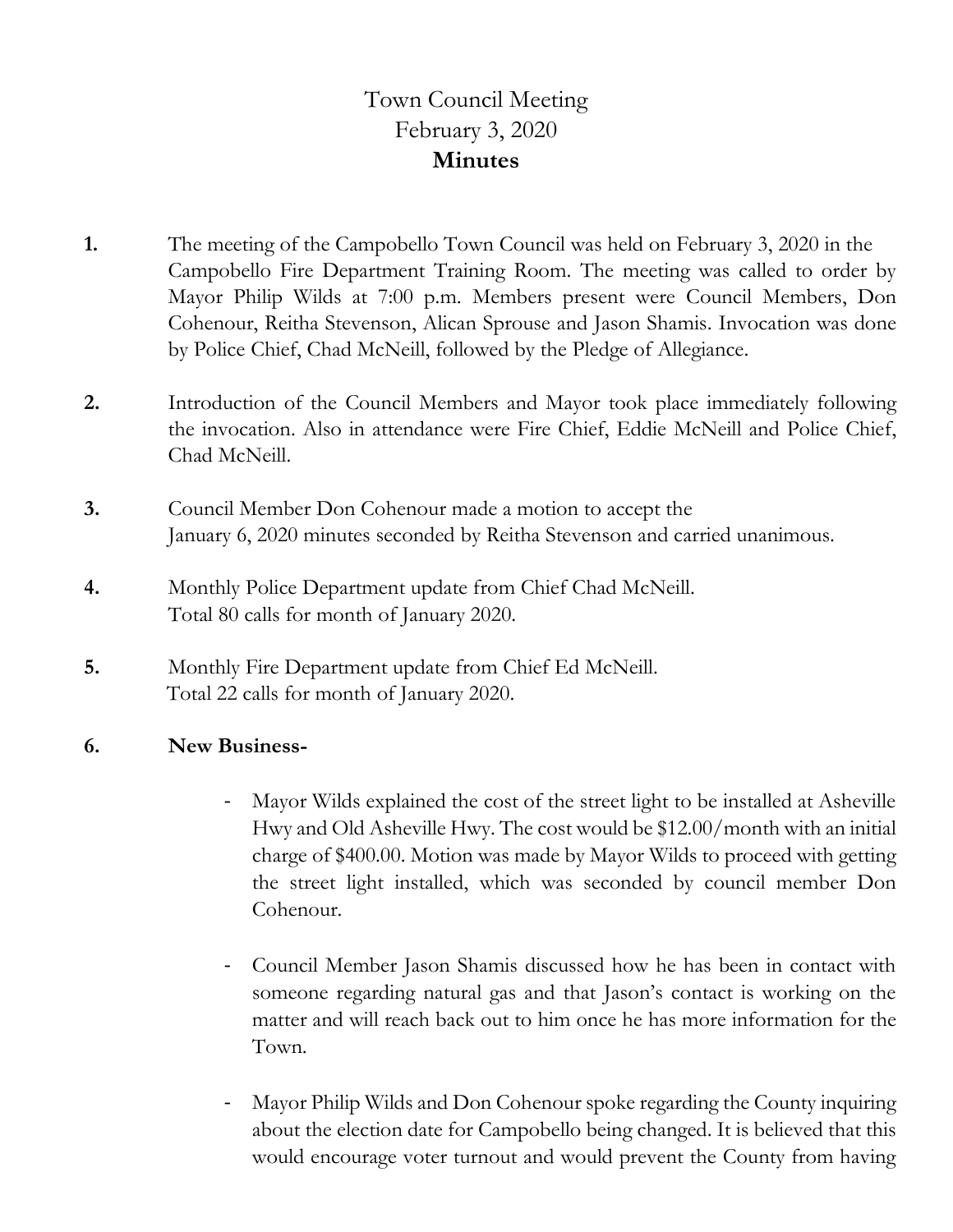## Town Council Meeting February 3, 2020 **Minutes**

- **1.** The meeting of the Campobello Town Council was held on February 3, 2020 in the Campobello Fire Department Training Room. The meeting was called to order by Mayor Philip Wilds at 7:00 p.m. Members present were Council Members, Don Cohenour, Reitha Stevenson, Alican Sprouse and Jason Shamis. Invocation was done by Police Chief, Chad McNeill, followed by the Pledge of Allegiance.
- **2.** Introduction of the Council Members and Mayor took place immediately following the invocation. Also in attendance were Fire Chief, Eddie McNeill and Police Chief, Chad McNeill.
- **3.** Council Member Don Cohenour made a motion to accept the January 6, 2020 minutes seconded by Reitha Stevenson and carried unanimous.
- **4.** Monthly Police Department update from Chief Chad McNeill. Total 80 calls for month of January 2020.
- **5.** Monthly Fire Department update from Chief Ed McNeill. Total 22 calls for month of January 2020.

## **6. New Business-**

- Mayor Wilds explained the cost of the street light to be installed at Asheville Hwy and Old Asheville Hwy. The cost would be \$12.00/month with an initial charge of \$400.00. Motion was made by Mayor Wilds to proceed with getting the street light installed, which was seconded by council member Don Cohenour.
- Council Member Jason Shamis discussed how he has been in contact with someone regarding natural gas and that Jason's contact is working on the matter and will reach back out to him once he has more information for the Town.
- Mayor Philip Wilds and Don Cohenour spoke regarding the County inquiring about the election date for Campobello being changed. It is believed that this would encourage voter turnout and would prevent the County from having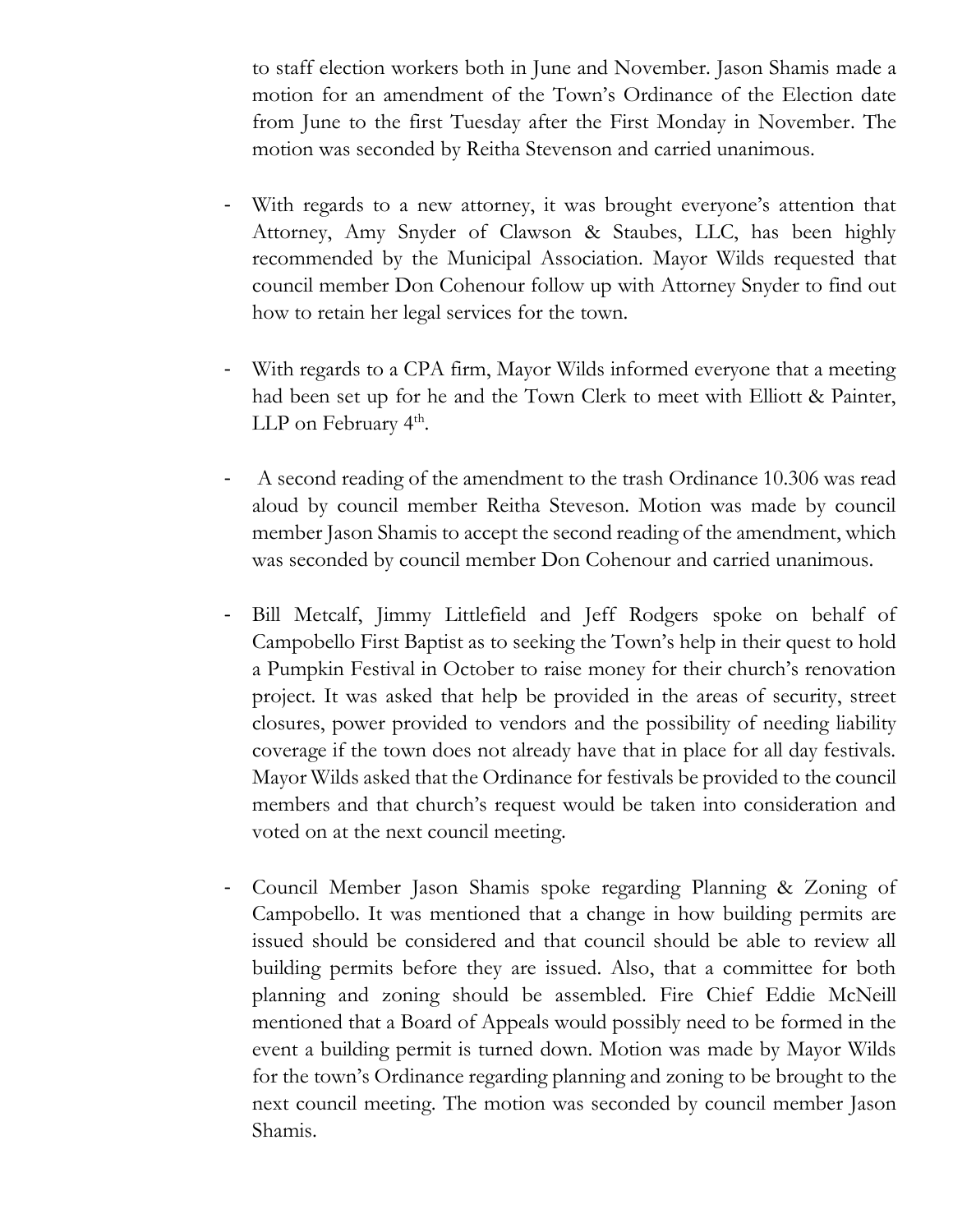to staff election workers both in June and November. Jason Shamis made a motion for an amendment of the Town's Ordinance of the Election date from June to the first Tuesday after the First Monday in November. The motion was seconded by Reitha Stevenson and carried unanimous.

- With regards to a new attorney, it was brought everyone's attention that Attorney, Amy Snyder of Clawson & Staubes, LLC, has been highly recommended by the Municipal Association. Mayor Wilds requested that council member Don Cohenour follow up with Attorney Snyder to find out how to retain her legal services for the town.
- With regards to a CPA firm, Mayor Wilds informed everyone that a meeting had been set up for he and the Town Clerk to meet with Elliott & Painter, LLP on February 4<sup>th</sup>.
- A second reading of the amendment to the trash Ordinance 10.306 was read aloud by council member Reitha Steveson. Motion was made by council member Jason Shamis to accept the second reading of the amendment, which was seconded by council member Don Cohenour and carried unanimous.
- Bill Metcalf, Jimmy Littlefield and Jeff Rodgers spoke on behalf of Campobello First Baptist as to seeking the Town's help in their quest to hold a Pumpkin Festival in October to raise money for their church's renovation project. It was asked that help be provided in the areas of security, street closures, power provided to vendors and the possibility of needing liability coverage if the town does not already have that in place for all day festivals. Mayor Wilds asked that the Ordinance for festivals be provided to the council members and that church's request would be taken into consideration and voted on at the next council meeting.
- Council Member Jason Shamis spoke regarding Planning & Zoning of Campobello. It was mentioned that a change in how building permits are issued should be considered and that council should be able to review all building permits before they are issued. Also, that a committee for both planning and zoning should be assembled. Fire Chief Eddie McNeill mentioned that a Board of Appeals would possibly need to be formed in the event a building permit is turned down. Motion was made by Mayor Wilds for the town's Ordinance regarding planning and zoning to be brought to the next council meeting. The motion was seconded by council member Jason Shamis.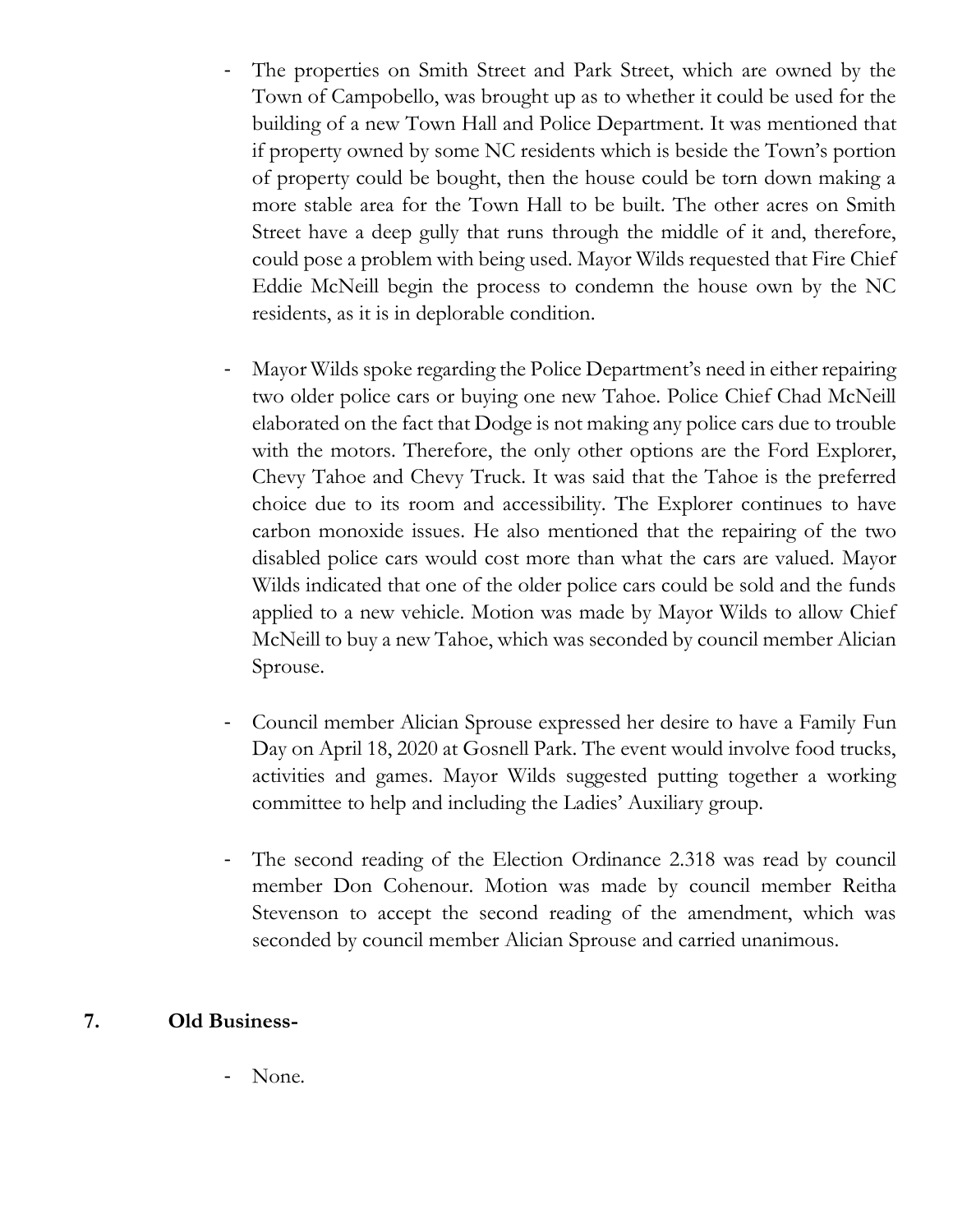- The properties on Smith Street and Park Street, which are owned by the Town of Campobello, was brought up as to whether it could be used for the building of a new Town Hall and Police Department. It was mentioned that if property owned by some NC residents which is beside the Town's portion of property could be bought, then the house could be torn down making a more stable area for the Town Hall to be built. The other acres on Smith Street have a deep gully that runs through the middle of it and, therefore, could pose a problem with being used. Mayor Wilds requested that Fire Chief Eddie McNeill begin the process to condemn the house own by the NC residents, as it is in deplorable condition.
- Mayor Wilds spoke regarding the Police Department's need in either repairing two older police cars or buying one new Tahoe. Police Chief Chad McNeill elaborated on the fact that Dodge is not making any police cars due to trouble with the motors. Therefore, the only other options are the Ford Explorer, Chevy Tahoe and Chevy Truck. It was said that the Tahoe is the preferred choice due to its room and accessibility. The Explorer continues to have carbon monoxide issues. He also mentioned that the repairing of the two disabled police cars would cost more than what the cars are valued. Mayor Wilds indicated that one of the older police cars could be sold and the funds applied to a new vehicle. Motion was made by Mayor Wilds to allow Chief McNeill to buy a new Tahoe, which was seconded by council member Alician Sprouse.
- Council member Alician Sprouse expressed her desire to have a Family Fun Day on April 18, 2020 at Gosnell Park. The event would involve food trucks, activities and games. Mayor Wilds suggested putting together a working committee to help and including the Ladies' Auxiliary group.
- The second reading of the Election Ordinance 2.318 was read by council member Don Cohenour. Motion was made by council member Reitha Stevenson to accept the second reading of the amendment, which was seconded by council member Alician Sprouse and carried unanimous.

## **7. Old Business-**

None.